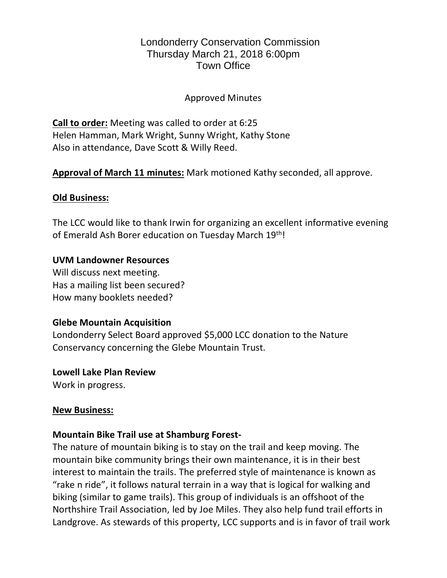# Londonderry Conservation Commission Thursday March 21, 2018 6:00pm Town Office

### Approved Minutes

**Call to order:** Meeting was called to order at 6:25 Helen Hamman, Mark Wright, Sunny Wright, Kathy Stone Also in attendance, Dave Scott & Willy Reed.

**Approval of March 11 minutes:** Mark motioned Kathy seconded, all approve.

### **Old Business:**

The LCC would like to thank Irwin for organizing an excellent informative evening of Emerald Ash Borer education on Tuesday March 19th!

# **UVM Landowner Resources**

Will discuss next meeting. Has a mailing list been secured? How many booklets needed?

#### **Glebe Mountain Acquisition**

Londonderry Select Board approved \$5,000 LCC donation to the Nature Conservancy concerning the Glebe Mountain Trust.

**Lowell Lake Plan Review**

Work in progress.

#### **New Business:**

# **Mountain Bike Trail use at Shamburg Forest-**

The nature of mountain biking is to stay on the trail and keep moving. The mountain bike community brings their own maintenance, it is in their best interest to maintain the trails. The preferred style of maintenance is known as "rake n ride", it follows natural terrain in a way that is logical for walking and biking (similar to game trails). This group of individuals is an offshoot of the Northshire Trail Association, led by Joe Miles. They also help fund trail efforts in Landgrove. As stewards of this property, LCC supports and is in favor of trail work